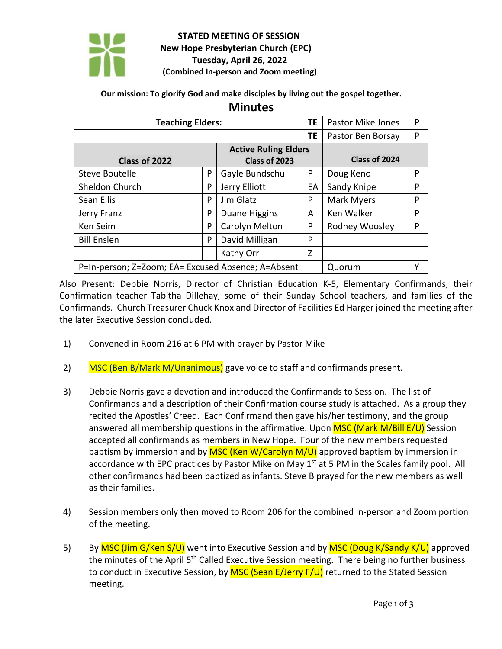

## **STATED MEETING OF SESSION New Hope Presbyterian Church (EPC) Tuesday, April 26, 2022 (Combined In-person and Zoom meeting)**

**Our mission: To glorify God and make disciples by living out the gospel together.**

**Minutes**

| <b>Teaching Elders:</b>                            |   |                | ΤE        | <b>Pastor Mike Jones</b> | P |
|----------------------------------------------------|---|----------------|-----------|--------------------------|---|
|                                                    |   |                | <b>TE</b> | Pastor Ben Borsay        | P |
| <b>Active Ruling Elders</b>                        |   |                |           |                          |   |
| Class of 2022                                      |   | Class of 2023  |           | Class of 2024            |   |
| Steve Boutelle                                     | P | Gayle Bundschu | P         | Doug Keno                | P |
| Sheldon Church                                     | P | Jerry Elliott  | EА        | Sandy Knipe              | P |
| Sean Ellis                                         | P | Jim Glatz      | P         | Mark Myers               | P |
| Jerry Franz                                        | P | Duane Higgins  | A         | Ken Walker               | P |
| Ken Seim                                           | P | Carolyn Melton | P         | Rodney Woosley           | P |
| <b>Bill Enslen</b>                                 | P | David Milligan | P         |                          |   |
|                                                    |   | Kathy Orr      | Z         |                          |   |
| P=In-person; Z=Zoom; EA= Excused Absence; A=Absent |   |                |           | Quorum                   | Y |

Also Present: Debbie Norris, Director of Christian Education K-5, Elementary Confirmands, their Confirmation teacher Tabitha Dillehay, some of their Sunday School teachers, and families of the Confirmands. Church Treasurer Chuck Knox and Director of Facilities Ed Harger joined the meeting after the later Executive Session concluded.

- 1) Convened in Room 216 at 6 PM with prayer by Pastor Mike
- 2) MSC (Ben B/Mark M/Unanimous) gave voice to staff and confirmands present.
- 3) Debbie Norris gave a devotion and introduced the Confirmands to Session. The list of Confirmands and a description of their Confirmation course study is attached. As a group they recited the Apostles' Creed. Each Confirmand then gave his/her testimony, and the group answered all membership questions in the affirmative. Upon MSC (Mark M/Bill E/U) Session accepted all confirmands as members in New Hope. Four of the new members requested baptism by immersion and by  $MSC$  (Ken W/Carolyn  $M/U$ ) approved baptism by immersion in accordance with EPC practices by Pastor Mike on May 1<sup>st</sup> at 5 PM in the Scales family pool. All other confirmands had been baptized as infants. Steve B prayed for the new members as well as their families.
- 4) Session members only then moved to Room 206 for the combined in-person and Zoom portion of the meeting.
- 5) By MSC (Jim G/Ken S/U) went into Executive Session and by MSC (Doug K/Sandy K/U) approved the minutes of the April 5<sup>th</sup> Called Executive Session meeting. There being no further business to conduct in Executive Session, by MSC (Sean E/Jerry F/U) returned to the Stated Session meeting.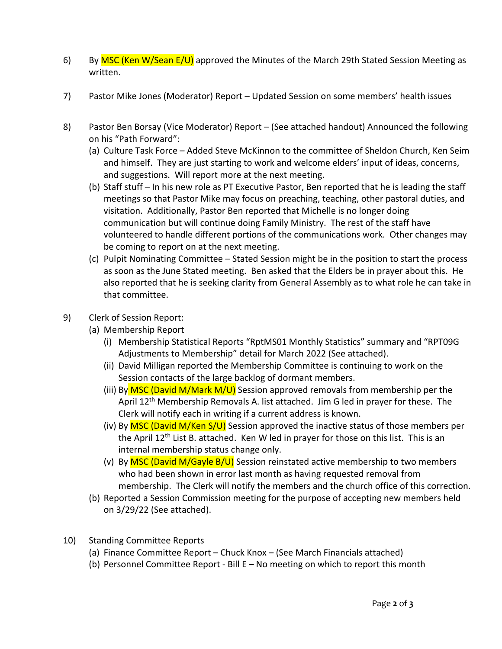- 6) By MSC (Ken W/Sean E/U) approved the Minutes of the March 29th Stated Session Meeting as written.
- 7) Pastor Mike Jones (Moderator) Report Updated Session on some members' health issues
- 8) Pastor Ben Borsay (Vice Moderator) Report (See attached handout) Announced the following on his "Path Forward":
	- (a) Culture Task Force Added Steve McKinnon to the committee of Sheldon Church, Ken Seim and himself. They are just starting to work and welcome elders' input of ideas, concerns, and suggestions. Will report more at the next meeting.
	- (b) Staff stuff In his new role as PT Executive Pastor, Ben reported that he is leading the staff meetings so that Pastor Mike may focus on preaching, teaching, other pastoral duties, and visitation. Additionally, Pastor Ben reported that Michelle is no longer doing communication but will continue doing Family Ministry. The rest of the staff have volunteered to handle different portions of the communications work. Other changes may be coming to report on at the next meeting.
	- (c) Pulpit Nominating Committee Stated Session might be in the position to start the process as soon as the June Stated meeting. Ben asked that the Elders be in prayer about this. He also reported that he is seeking clarity from General Assembly as to what role he can take in that committee.
- 9) Clerk of Session Report:
	- (a) Membership Report
		- (i) Membership Statistical Reports "RptMS01 Monthly Statistics" summary and "RPT09G Adjustments to Membership" detail for March 2022 (See attached).
		- (ii) David Milligan reported the Membership Committee is continuing to work on the Session contacts of the large backlog of dormant members.
		- (iii) By  $MSC$  (David M/Mark M/U) Session approved removals from membership per the April 12<sup>th</sup> Membership Removals A. list attached. Jim G led in prayer for these. The Clerk will notify each in writing if a current address is known.
		- (iv) By MSC (David M/Ken  $S/U$ ) Session approved the inactive status of those members per the April  $12<sup>th</sup>$  List B. attached. Ken W led in prayer for those on this list. This is an internal membership status change only.
		- (v) By MSC (David M/Gayle B/U) Session reinstated active membership to two members who had been shown in error last month as having requested removal from membership. The Clerk will notify the members and the church office of this correction.
	- (b) Reported a Session Commission meeting for the purpose of accepting new members held on 3/29/22 (See attached).
- 10) Standing Committee Reports
	- (a) Finance Committee Report Chuck Knox (See March Financials attached)
	- (b) Personnel Committee Report Bill E No meeting on which to report this month